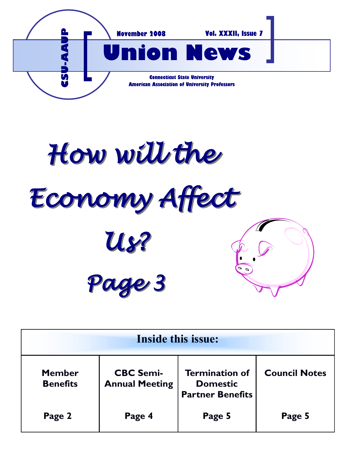

How will the *Economy Affect Us? Page 3*

| <b>Inside this issue:</b>        |                                           |                                                                     |                      |
|----------------------------------|-------------------------------------------|---------------------------------------------------------------------|----------------------|
| <b>Member</b><br><b>Benefits</b> | <b>CBC Semi-</b><br><b>Annual Meeting</b> | <b>Termination of</b><br><b>Domestic</b><br><b>Partner Benefits</b> | <b>Council Notes</b> |
| Page 2                           | Page 4                                    | Page 5                                                              | Page 5               |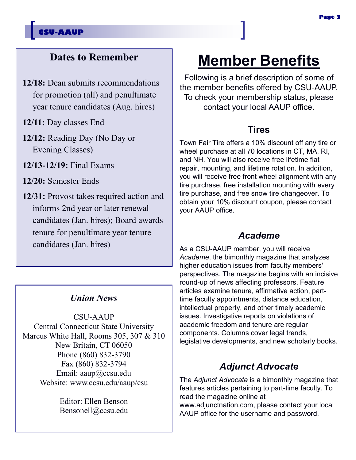## **Dates to Remember**

- **12/18:** Dean submits recommendations for promotion (all) and penultimate year tenure candidates (Aug. hires)
- **12/11:** Day classes End
- **12/12:** Reading Day (No Day or Evening Classes)
- **12/13-12/19:** Final Exams
- **12/20:** Semester Ends
- **12/31:** Provost takes required action and informs 2nd year or later renewal candidates (Jan. hires); Board awards tenure for penultimate year tenure candidates (Jan. hires)

### *Union News*

CSU-AAUP Central Connecticut State University Marcus White Hall, Rooms 305, 307 & 310 New Britain, CT 06050 Phone (860) 832-3790 Fax (860) 832-3794 Email: aaup@ccsu.edu Website: www.ccsu.edu/aaup/csu

> Editor: Ellen Benson Bensonell@ccsu.edu

# **Member Benefits**

Following is a brief description of some of the member benefits offered by CSU-AAUP. To check your membership status, please contact your local AAUP office.

### **Tires**

Town Fair Tire offers a 10% discount off any tire or wheel purchase at all 70 locations in CT, MA, RI, and NH. You will also receive free lifetime flat repair, mounting, and lifetime rotation. In addition, you will receive free front wheel alignment with any tire purchase, free installation mounting with every tire purchase, and free snow tire changeover. To obtain your 10% discount coupon, please contact your AAUP office.

### *Academe*

As a CSU-AAUP member, you will receive *Academe*, the bimonthly magazine that analyzes higher education issues from faculty members' perspectives. The magazine begins with an incisive round-up of news affecting professors. Feature articles examine tenure, affirmative action, parttime faculty appointments, distance education, intellectual property, and other timely academic issues. Investigative reports on violations of academic freedom and tenure are regular components. Columns cover legal trends, legislative developments, and new scholarly books.

### *Adjunct Advocate*

The *Adjunct Advocate* is a bimonthly magazine that features articles pertaining to part-time faculty. To read the magazine online at www.adjunctnation.com, please contact your local AAUP office for the username and password.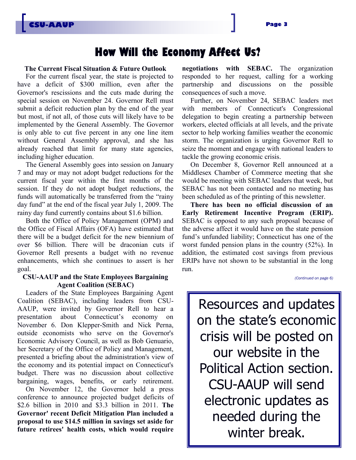# **How Will the Economy Affect Us?**

#### **The Current Fiscal Situation & Future Outlook**

For the current fiscal year, the state is projected to have a deficit of \$300 million, even after the Governor's rescissions and the cuts made during the special session on November 24. Governor Rell must submit a deficit reduction plan by the end of the year but most, if not all, of those cuts will likely have to be implemented by the General Assembly. The Governor is only able to cut five percent in any one line item without General Assembly approval, and she has already reached that limit for many state agencies, including higher education.

The General Assembly goes into session on January 7 and may or may not adopt budget reductions for the current fiscal year within the first months of the session. If they do not adopt budget reductions, the funds will automatically be transferred from the "rainy day fund" at the end of the fiscal year July 1, 2009. The rainy day fund currently contains about \$1.6 billion.

Both the Office of Policy Management (OPM) and the Office of Fiscal Affairs (OFA) have estimated that there will be a budget deficit for the new biennium of over \$6 billion. There will be draconian cuts if Governor Rell presents a budget with no revenue enhancements, which she continues to assert is her goal.

#### **CSU-AAUP and the State Employees Bargaining Agent Coalition (SEBAC)**

Leaders of the State Employees Bargaining Agent Coalition (SEBAC), including leaders from CSU-AAUP, were invited by Governor Rell to hear a presentation about Connecticut"s economy on November 6. Don Klepper-Smith and Nick Perna, outside economists who serve on the Governor's Economic Advisory Council, as well as Bob Genuario, her Secretary of the Office of Policy and Management, presented a briefing about the administration's view of the economy and its potential impact on Connecticut's budget. There was no discussion about collective bargaining, wages, benefits, or early retirement.

On November 12, the Governor held a press conference to announce projected budget deficits of \$2.6 billion in 2010 and \$3.3 billion in 2011. **The Governor' recent Deficit Mitigation Plan included a proposal to use \$14.5 million in savings set aside for future retirees' health costs, which would require** 

**negotiations with SEBAC.** The organization responded to her request, calling for a working partnership and discussions on the possible consequences of such a move.

Further, on November 24, SEBAC leaders met with members of Connecticut's Congressional delegation to begin creating a partnership between workers, elected officials at all levels, and the private sector to help working families weather the economic storm. The organization is urging Governor Rell to seize the moment and engage with national leaders to tackle the growing economic crisis.

On December 8, Governor Rell announced at a Middlesex Chamber of Commerce meeting that she would be meeting with SEBAC leaders that week, but SEBAC has not been contacted and no meeting has been scheduled as of the printing of this newsletter.

**There has been no official discussion of an Early Retirement Incentive Program (ERIP).**  SEBAC is opposed to any such proposal because of the adverse affect it would have on the state pension fund"s unfunded liability; Connecticut has one of the worst funded pension plans in the country (52%). In addition, the estimated cost savings from previous ERIPs have not shown to be substantial in the long run.

*(Continued on page 6)*

Resources and updates on the state's economic crisis will be posted on our website in the Political Action section. CSU-AAUP will send electronic updates as needed during the winter break.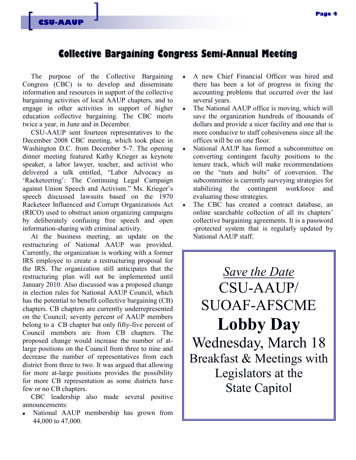### **Collective Bargaining Congress Semi-Annual Meeting**

The purpose of the Collective Bargaining Congress (CBC) is to develop and disseminate information and resources in support of the collective bargaining activities of local AAUP chapters, and to engage in other activities in support of higher education collective bargaining. The CBC meets twice a year, in June and in December.

CSU-AAUP sent fourteen representatives to the December 2008 CBC meeting, which took place in Washington D.C. from December 5-7. The opening dinner meeting featured Kathy Krieger as keynote speaker, a labor lawyer, teacher, and activist who delivered a talk entitled, "Labor Advocacy as 'Racketeering': The Continuing Legal Campaign against Union Speech and Activism." Ms. Krieger's speech discussed lawsuits based on the 1970 Racketeer Influenced and Corrupt Organizations Act (RICO) used to obstruct union organizing campaigns by deliberately confusing free speech and open information-sharing with criminal activity.

At the business meeting, an update on the restructuring of National AAUP was provided. Currently, the organization is working with a former IRS employee to create a restructuring proposal for the IRS. The organization still anticipates that the restructuring plan will not be implemented until January 2010. Also discussed was a proposed change in election rules for National AAUP Council, which has the potential to benefit collective bargaining (CB) chapters. CB chapters are currently underrepresented on the Council; seventy percent of AAUP members belong to a CB chapter but only fifty-five percent of Council members are from CB chapters. The proposed change would increase the number of atlarge positions on the Council from three to nine and decrease the number of representatives from each district from three to two. It was argued that allowing for more at-large positions provides the possibility for more CB representation as some districts have few or no CB chapters.

CBC leadership also made several positive announcements:

National AAUP membership has grown from 44,000 to 47,000.

- A new Chief Financial Officer was hired and there has been a lot of progress in fixing the accounting problems that occurred over the last several years.
- $\bullet$ The National AAUP office is moving, which will save the organization hundreds of thousands of dollars and provide a nicer facility and one that is more conducive to staff cohesiveness since all the offices will be on one floor.
- National AAUP has formed a subcommittee on converting contingent faculty positions to the tenure track, which will make recommendations on the "nuts and bolts" of conversion. The subcommittee is currently surveying strategies for stabilizing the contingent workforce and evaluating those strategies.
- The CBC has created a contract database, an  $\bullet$ online searchable collection of all its chapters' collective bargaining agreements. It is a password -protected system that is regularly updated by National AAUP staff.

*Save the Date* CSU-AAUP/ SUOAF-AFSCME **Lobby Day**  Wednesday, March 18 Breakfast & Meetings with Legislators at the State Capitol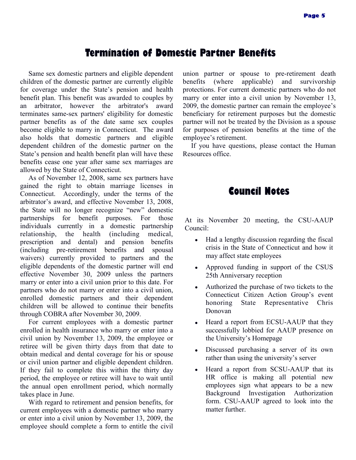### **Termination of Domestic Partner Benefits**

Same sex domestic partners and eligible dependent children of the domestic partner are currently eligible for coverage under the State"s pension and health benefit plan. This benefit was awarded to couples by an arbitrator, however the arbitrator's award terminates same-sex partners' eligibility for domestic partner benefits as of the date same sex couples become eligible to marry in Connecticut. The award also holds that domestic partners and eligible dependent children of the domestic partner on the State"s pension and health benefit plan will have these benefits cease one year after same sex marriages are allowed by the State of Connecticut.

As of November 12, 2008, same sex partners have gained the right to obtain marriage licenses in Connecticut. Accordingly, under the terms of the arbitrator's award, and effective November 13, 2008, the State will no longer recognize "new" domestic partnerships for benefit purposes. For those individuals currently in a domestic partnership relationship, the health (including medical, prescription and dental) and pension benefits (including pre-retirement benefits and spousal waivers) currently provided to partners and the eligible dependents of the domestic partner will end effective November 30, 2009 unless the partners marry or enter into a civil union prior to this date. For partners who do not marry or enter into a civil union, enrolled domestic partners and their dependent children will be allowed to continue their benefits through COBRA after November 30, 2009.

For current employees with a domestic partner enrolled in health insurance who marry or enter into a civil union by November 13, 2009, the employee or retiree will be given thirty days from that date to obtain medical and dental coverage for his or spouse or civil union partner and eligible dependent children. If they fail to complete this within the thirty day period, the employee or retiree will have to wait until the annual open enrollment period, which normally takes place in June.

With regard to retirement and pension benefits, for current employees with a domestic partner who marry or enter into a civil union by November 13, 2009, the employee should complete a form to entitle the civil union partner or spouse to pre-retirement death benefits (where applicable) and survivorship protections. For current domestic partners who do not marry or enter into a civil union by November 13, 2009, the domestic partner can remain the employee"s beneficiary for retirement purposes but the domestic partner will not be treated by the Division as a spouse for purposes of pension benefits at the time of the employee's retirement.

If you have questions, please contact the Human Resources office.

### **Council Notes**

At its November 20 meeting, the CSU-AAUP Council:

- Had a lengthy discussion regarding the fiscal crisis in the State of Connecticut and how it may affect state employees
- Approved funding in support of the CSUS 25th Anniversary reception
- Authorized the purchase of two tickets to the Connecticut Citizen Action Group"s event honoring State Representative Chris Donovan
- Heard a report from ECSU-AAUP that they successfully lobbied for AAUP presence on the University"s Homepage
- Discussed purchasing a server of its own rather than using the university's server
- Heard a report from SCSU-AAUP that its HR office is making all potential new employees sign what appears to be a new Background Investigation Authorization form. CSU-AAUP agreed to look into the matter further.